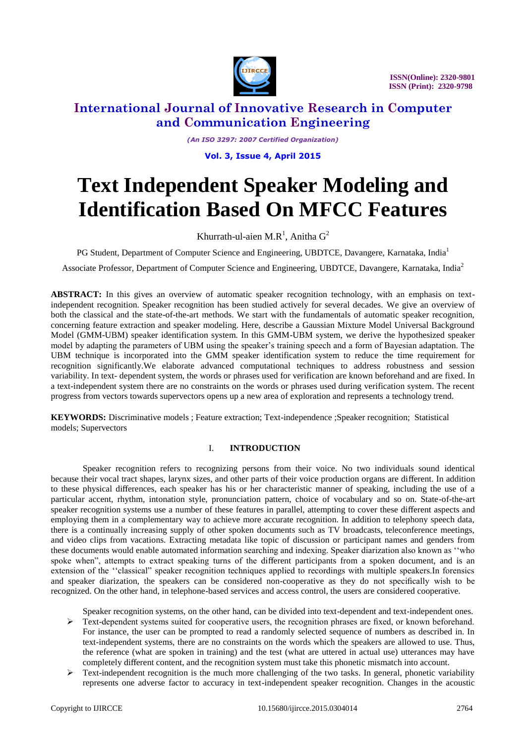

 **ISSN(Online): 2320-9801 ISSN (Print): 2320-9798** 

### **International Journal of Innovative Research in Computer and Communication Engineering**

*(An ISO 3297: 2007 Certified Organization)*

**Vol. 3, Issue 4, April 2015**

# **Text Independent Speaker Modeling and Identification Based On MFCC Features**

Khurrath-ul-aien M.R<sup>1</sup>, Anitha  $G^2$ 

PG Student, Department of Computer Science and Engineering, UBDTCE, Davangere, Karnataka, India<sup>1</sup>

Associate Professor, Department of Computer Science and Engineering, UBDTCE, Davangere, Karnataka, India<sup>2</sup>

ABSTRACT: In this gives an overview of automatic speaker recognition technology, with an emphasis on textindependent recognition. Speaker recognition has been studied actively for several decades. We give an overview of both the classical and the state-of-the-art methods. We start with the fundamentals of automatic speaker recognition, concerning feature extraction and speaker modeling. Here, describe a Gaussian Mixture Model Universal Background Model (GMM-UBM) speaker identification system. In this GMM-UBM system, we derive the hypothesized speaker model by adapting the parameters of UBM using the speaker's training speech and a form of Bayesian adaptation. The UBM technique is incorporated into the GMM speaker identification system to reduce the time requirement for recognition significantly.We elaborate advanced computational techniques to address robustness and session variability. In text- dependent system, the words or phrases used for verification are known beforehand and are fixed. In a text-independent system there are no constraints on the words or phrases used during verification system. The recent progress from vectors towards supervectors opens up a new area of exploration and represents a technology trend.

**KEYWORDS:** Discriminative models ; Feature extraction; Text-independence ;Speaker recognition; Statistical models; Supervectors

#### I. **INTRODUCTION**

Speaker recognition refers to recognizing persons from their voice. No two individuals sound identical because their vocal tract shapes, larynx sizes, and other parts of their voice production organs are different. In addition to these physical differences, each speaker has his or her characteristic manner of speaking, including the use of a particular accent, rhythm, intonation style, pronunciation pattern, choice of vocabulary and so on. State-of-the-art speaker recognition systems use a number of these features in parallel, attempting to cover these different aspects and employing them in a complementary way to achieve more accurate recognition. In addition to telephony speech data, there is a continually increasing supply of other spoken documents such as TV broadcasts, teleconference meetings, and video clips from vacations. Extracting metadata like topic of discussion or participant names and genders from these documents would enable automated information searching and indexing. Speaker diarization also known as ''who spoke when", attempts to extract speaking turns of the different participants from a spoken document, and is an extension of the ''classical" speaker recognition techniques applied to recordings with multiple speakers.In forensics and speaker diarization, the speakers can be considered non-cooperative as they do not specifically wish to be recognized. On the other hand, in telephone-based services and access control, the users are considered cooperative.

Speaker recognition systems, on the other hand, can be divided into text-dependent and text-independent ones.

- $\triangleright$  Text-dependent systems suited for cooperative users, the recognition phrases are fixed, or known beforehand. For instance, the user can be prompted to read a randomly selected sequence of numbers as described in. In text-independent systems, there are no constraints on the words which the speakers are allowed to use. Thus, the reference (what are spoken in training) and the test (what are uttered in actual use) utterances may have completely different content, and the recognition system must take this phonetic mismatch into account.
- $\triangleright$  Text-independent recognition is the much more challenging of the two tasks. In general, phonetic variability represents one adverse factor to accuracy in text-independent speaker recognition. Changes in the acoustic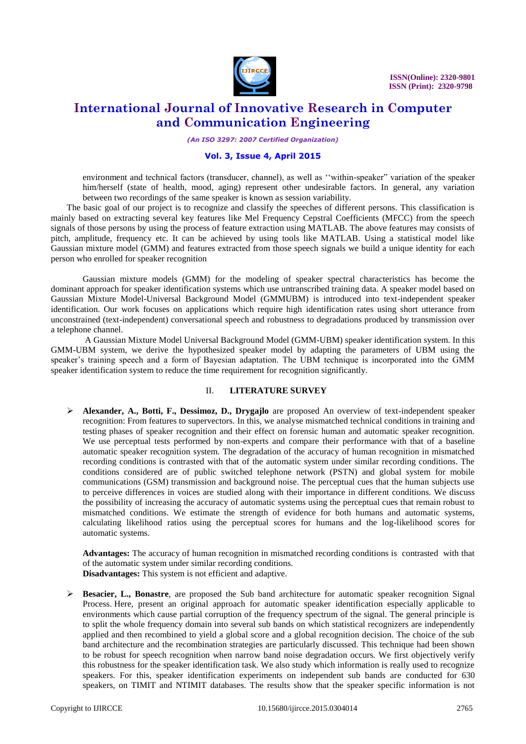

*(An ISO 3297: 2007 Certified Organization)*

#### **Vol. 3, Issue 4, April 2015**

environment and technical factors (transducer, channel), as well as ''within-speaker" variation of the speaker him/herself (state of health, mood, aging) represent other undesirable factors. In general, any variation between two recordings of the same speaker is known as session variability.

The basic goal of our project is to recognize and classify the speeches of different persons. This classification is mainly based on extracting several key features like Mel Frequency Cepstral Coefficients (MFCC) from the speech signals of those persons by using the process of feature extraction using MATLAB. The above features may consists of pitch, amplitude, frequency etc. It can be achieved by using tools like MATLAB. Using a statistical model like Gaussian mixture model (GMM) and features extracted from those speech signals we build a unique identity for each person who enrolled for speaker recognition

Gaussian mixture models (GMM) for the modeling of speaker spectral characteristics has become the dominant approach for speaker identification systems which use untranscribed training data. A speaker model based on Gaussian Mixture Model-Universal Background Model (GMMUBM) is introduced into text-independent speaker identification. Our work focuses on applications which require high identification rates using short utterance from unconstrained (text-independent) conversational speech and robustness to degradations produced by transmission over a telephone channel.

A Gaussian Mixture Model Universal Background Model (GMM-UBM) speaker identification system. In this GMM-UBM system, we derive the hypothesized speaker model by adapting the parameters of UBM using the speaker's training speech and a form of Bayesian adaptation. The UBM technique is incorporated into the GMM speaker identification system to reduce the time requirement for recognition significantly.

#### II. **LITERATURE SURVEY**

 **Alexander, A., Botti, F., Dessimoz, D., Drygajlo** are proposed An overview of text-independent speaker recognition: From features to supervectors. In this, we analyse mismatched technical conditions in training and testing phases of speaker recognition and their effect on forensic human and automatic speaker recognition. We use perceptual tests performed by non-experts and compare their performance with that of a baseline automatic speaker recognition system. The degradation of the accuracy of human recognition in mismatched recording conditions is contrasted with that of the automatic system under similar recording conditions. The conditions considered are of public switched telephone network (PSTN) and global system for mobile communications (GSM) transmission and background noise. The perceptual cues that the human subjects use to perceive differences in voices are studied along with their importance in different conditions. We discuss the possibility of increasing the accuracy of automatic systems using the perceptual cues that remain robust to mismatched conditions. We estimate the strength of evidence for both humans and automatic systems, calculating likelihood ratios using the perceptual scores for humans and the log-likelihood scores for automatic systems.

**Advantages:** The accuracy of human recognition in mismatched recording conditions is contrasted with that of the automatic system under similar recording conditions. **Disadvantages:** This system is not efficient and adaptive.

 **Besacier, L., Bonastre**, are proposed the Sub band architecture for automatic speaker recognition Signal Process. Here, present an original approach for automatic speaker identification especially applicable to environments which cause partial corruption of the frequency spectrum of the signal. The general principle is to split the whole frequency domain into several sub bands on which statistical recognizers are independently applied and then recombined to yield a global score and a global recognition decision. The choice of the sub band architecture and the recombination strategies are particularly discussed. This technique had been shown to be robust for speech recognition when narrow band noise degradation occurs. We first objectively verify this robustness for the speaker identification task. We also study which information is really used to recognize speakers. For this, speaker identification experiments on independent sub bands are conducted for 630 speakers, on TIMIT and NTIMIT databases. The results show that the speaker specific information is not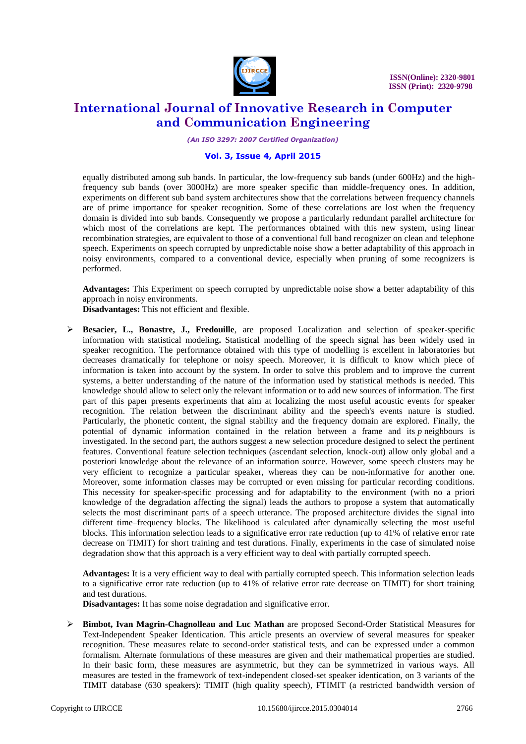

*(An ISO 3297: 2007 Certified Organization)*

#### **Vol. 3, Issue 4, April 2015**

equally distributed among sub bands. In particular, the low-frequency sub bands (under 600Hz) and the highfrequency sub bands (over 3000Hz) are more speaker specific than middle-frequency ones. In addition, experiments on different sub band system architectures show that the correlations between frequency channels are of prime importance for speaker recognition. Some of these correlations are lost when the frequency domain is divided into sub bands. Consequently we propose a particularly redundant parallel architecture for which most of the correlations are kept. The performances obtained with this new system, using linear recombination strategies, are equivalent to those of a conventional full band recognizer on clean and telephone speech. Experiments on speech corrupted by unpredictable noise show a better adaptability of this approach in noisy environments, compared to a conventional device, especially when pruning of some recognizers is performed.

**Advantages:** This Experiment on speech corrupted by unpredictable noise show a better adaptability of this approach in noisy environments.

**Disadvantages:** This not efficient and flexible.

 **Besacier, L., Bonastre, J., Fredouille**, are proposed Localization and selection of speaker-specific information with statistical modeling**.** Statistical modelling of the speech signal has been widely used in speaker recognition. The performance obtained with this type of modelling is excellent in laboratories but decreases dramatically for telephone or noisy speech. Moreover, it is difficult to know which piece of information is taken into account by the system. In order to solve this problem and to improve the current systems, a better understanding of the nature of the information used by statistical methods is needed. This knowledge should allow to select only the relevant information or to add new sources of information. The first part of this paper presents experiments that aim at localizing the most useful acoustic events for speaker recognition. The relation between the discriminant ability and the speech's events nature is studied. Particularly, the phonetic content, the signal stability and the frequency domain are explored. Finally, the potential of dynamic information contained in the relation between a frame and its *p* neighbours is investigated. In the second part, the authors suggest a new selection procedure designed to select the pertinent features. Conventional feature selection techniques (ascendant selection, knock-out) allow only global and a posteriori knowledge about the relevance of an information source. However, some speech clusters may be very efficient to recognize a particular speaker, whereas they can be non-informative for another one. Moreover, some information classes may be corrupted or even missing for particular recording conditions. This necessity for speaker-specific processing and for adaptability to the environment (with no a priori knowledge of the degradation affecting the signal) leads the authors to propose a system that automatically selects the most discriminant parts of a speech utterance. The proposed architecture divides the signal into different time–frequency blocks. The likelihood is calculated after dynamically selecting the most useful blocks. This information selection leads to a significative error rate reduction (up to 41% of relative error rate decrease on TIMIT) for short training and test durations. Finally, experiments in the case of simulated noise degradation show that this approach is a very efficient way to deal with partially corrupted speech.

**Advantages:** It is a very efficient way to deal with partially corrupted speech. This information selection leads to a significative error rate reduction (up to 41% of relative error rate decrease on TIMIT) for short training and test durations.

**Disadvantages:** It has some noise degradation and significative error.

 **Bimbot, Ivan Magrin-Chagnolleau and Luc Mathan** are proposed Second-Order Statistical Measures for Text-Independent Speaker Identication. This article presents an overview of several measures for speaker recognition. These measures relate to second-order statistical tests, and can be expressed under a common formalism. Alternate formulations of these measures are given and their mathematical properties are studied. In their basic form, these measures are asymmetric, but they can be symmetrized in various ways. All measures are tested in the framework of text-independent closed-set speaker identication, on 3 variants of the TIMIT database (630 speakers): TIMIT (high quality speech), FTIMIT (a restricted bandwidth version of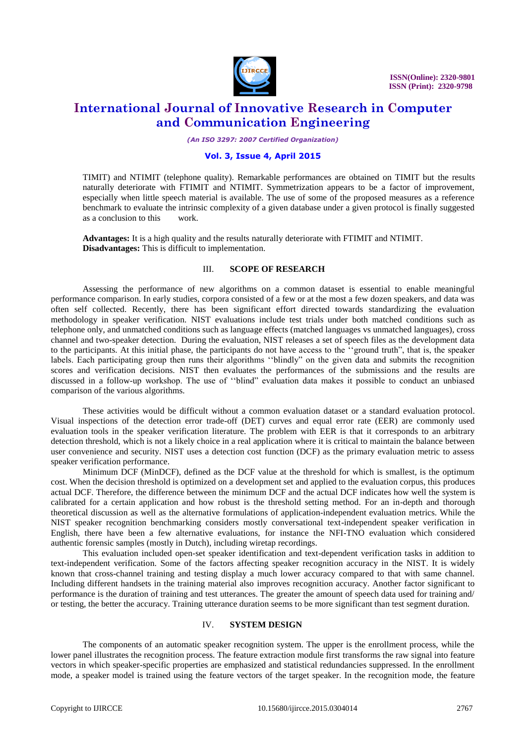

 **ISSN(Online): 2320-9801 ISSN (Print): 2320-9798** 

# **International Journal of Innovative Research in Computer and Communication Engineering**

*(An ISO 3297: 2007 Certified Organization)*

#### **Vol. 3, Issue 4, April 2015**

TIMIT) and NTIMIT (telephone quality). Remarkable performances are obtained on TIMIT but the results naturally deteriorate with FTIMIT and NTIMIT. Symmetrization appears to be a factor of improvement, especially when little speech material is available. The use of some of the proposed measures as a reference benchmark to evaluate the intrinsic complexity of a given database under a given protocol is finally suggested as a conclusion to this work.

**Advantages:** It is a high quality and the results naturally deteriorate with FTIMIT and NTIMIT. **Disadvantages:** This is difficult to implementation.

#### III. **SCOPE OF RESEARCH**

Assessing the performance of new algorithms on a common dataset is essential to enable meaningful performance comparison. In early studies, corpora consisted of a few or at the most a few dozen speakers, and data was often self collected. Recently, there has been significant effort directed towards standardizing the evaluation methodology in speaker verification. NIST evaluations include test trials under both matched conditions such as telephone only, and unmatched conditions such as language effects (matched languages vs unmatched languages), cross channel and two-speaker detection. During the evaluation, NIST releases a set of speech files as the development data to the participants. At this initial phase, the participants do not have access to the ''ground truth", that is, the speaker labels. Each participating group then runs their algorithms ''blindly" on the given data and submits the recognition scores and verification decisions. NIST then evaluates the performances of the submissions and the results are discussed in a follow-up workshop. The use of ''blind" evaluation data makes it possible to conduct an unbiased comparison of the various algorithms.

These activities would be difficult without a common evaluation dataset or a standard evaluation protocol. Visual inspections of the detection error trade-off (DET) curves and equal error rate (EER) are commonly used evaluation tools in the speaker verification literature. The problem with EER is that it corresponds to an arbitrary detection threshold, which is not a likely choice in a real application where it is critical to maintain the balance between user convenience and security. NIST uses a detection cost function (DCF) as the primary evaluation metric to assess speaker verification performance.

Minimum DCF (MinDCF), defined as the DCF value at the threshold for which is smallest, is the optimum cost. When the decision threshold is optimized on a development set and applied to the evaluation corpus, this produces actual DCF. Therefore, the difference between the minimum DCF and the actual DCF indicates how well the system is calibrated for a certain application and how robust is the threshold setting method. For an in-depth and thorough theoretical discussion as well as the alternative formulations of application-independent evaluation metrics. While the NIST speaker recognition benchmarking considers mostly conversational text-independent speaker verification in English, there have been a few alternative evaluations, for instance the NFI-TNO evaluation which considered authentic forensic samples (mostly in Dutch), including wiretap recordings.

This evaluation included open-set speaker identification and text-dependent verification tasks in addition to text-independent verification. Some of the factors affecting speaker recognition accuracy in the NIST. It is widely known that cross-channel training and testing display a much lower accuracy compared to that with same channel. Including different handsets in the training material also improves recognition accuracy. Another factor significant to performance is the duration of training and test utterances. The greater the amount of speech data used for training and/ or testing, the better the accuracy. Training utterance duration seems to be more significant than test segment duration.

#### IV. **SYSTEM DESIGN**

The components of an automatic speaker recognition system. The upper is the enrollment process, while the lower panel illustrates the recognition process. The feature extraction module first transforms the raw signal into feature vectors in which speaker-specific properties are emphasized and statistical redundancies suppressed. In the enrollment mode, a speaker model is trained using the feature vectors of the target speaker. In the recognition mode, the feature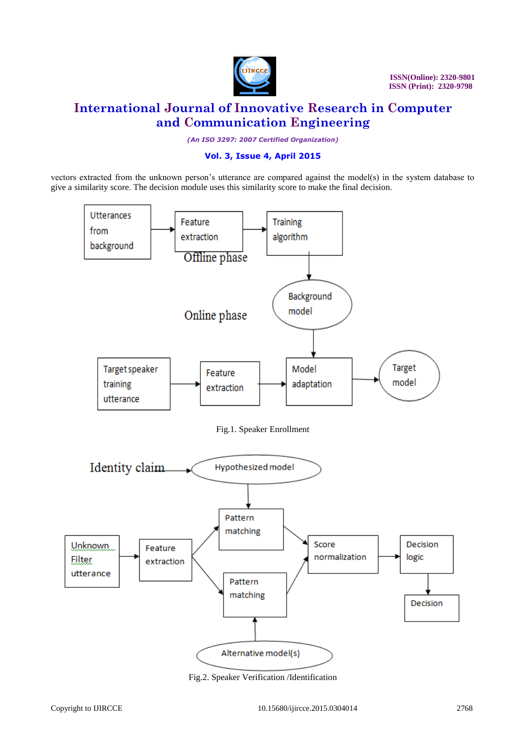

*(An ISO 3297: 2007 Certified Organization)*

#### **Vol. 3, Issue 4, April 2015**

vectors extracted from the unknown person's utterance are compared against the model(s) in the system database to give a similarity score. The decision module uses this similarity score to make the final decision.



Fig.2. Speaker Verification /Identification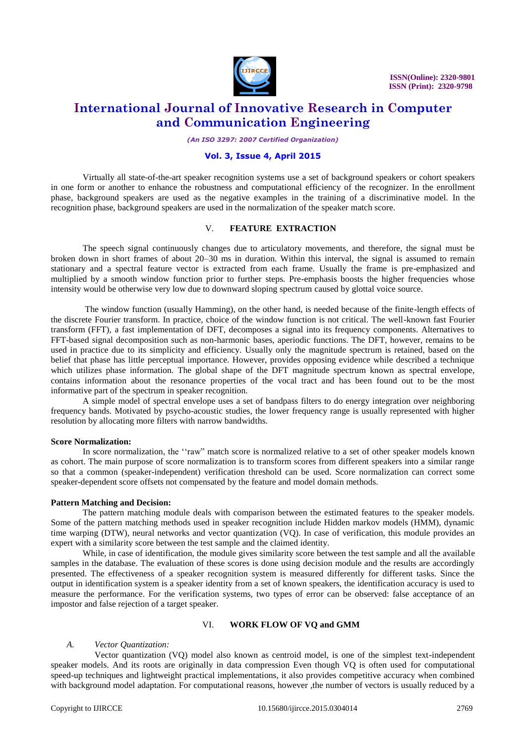

*(An ISO 3297: 2007 Certified Organization)*

#### **Vol. 3, Issue 4, April 2015**

Virtually all state-of-the-art speaker recognition systems use a set of background speakers or cohort speakers in one form or another to enhance the robustness and computational efficiency of the recognizer. In the enrollment phase, background speakers are used as the negative examples in the training of a discriminative model. In the recognition phase, background speakers are used in the normalization of the speaker match score.

#### V. **FEATURE EXTRACTION**

The speech signal continuously changes due to articulatory movements, and therefore, the signal must be broken down in short frames of about 20–30 ms in duration. Within this interval, the signal is assumed to remain stationary and a spectral feature vector is extracted from each frame. Usually the frame is pre-emphasized and multiplied by a smooth window function prior to further steps. Pre-emphasis boosts the higher frequencies whose intensity would be otherwise very low due to downward sloping spectrum caused by glottal voice source.

The window function (usually Hamming), on the other hand, is needed because of the finite-length effects of the discrete Fourier transform. In practice, choice of the window function is not critical. The well-known fast Fourier transform (FFT), a fast implementation of DFT, decomposes a signal into its frequency components. Alternatives to FFT-based signal decomposition such as non-harmonic bases, aperiodic functions. The DFT, however, remains to be used in practice due to its simplicity and efficiency. Usually only the magnitude spectrum is retained, based on the belief that phase has little perceptual importance. However, provides opposing evidence while described a technique which utilizes phase information. The global shape of the DFT magnitude spectrum known as spectral envelope, contains information about the resonance properties of the vocal tract and has been found out to be the most informative part of the spectrum in speaker recognition.

A simple model of spectral envelope uses a set of bandpass filters to do energy integration over neighboring frequency bands. Motivated by psycho-acoustic studies, the lower frequency range is usually represented with higher resolution by allocating more filters with narrow bandwidths.

#### **Score Normalization:**

In score normalization, the ''raw" match score is normalized relative to a set of other speaker models known as cohort. The main purpose of score normalization is to transform scores from different speakers into a similar range so that a common (speaker-independent) verification threshold can be used. Score normalization can correct some speaker-dependent score offsets not compensated by the feature and model domain methods.

#### **Pattern Matching and Decision:**

The pattern matching module deals with comparison between the estimated features to the speaker models. Some of the pattern matching methods used in speaker recognition include Hidden markov models (HMM), dynamic time warping (DTW), neural networks and vector quantization (VQ). In case of verification, this module provides an expert with a similarity score between the test sample and the claimed identity.

While, in case of identification, the module gives similarity score between the test sample and all the available samples in the database. The evaluation of these scores is done using decision module and the results are accordingly presented. The effectiveness of a speaker recognition system is measured differently for different tasks. Since the output in identification system is a speaker identity from a set of known speakers, the identification accuracy is used to measure the performance. For the verification systems, two types of error can be observed: false acceptance of an impostor and false rejection of a target speaker.

#### VI. **WORK FLOW OF VQ and GMM**

#### *A. Vector Quantization:*

Vector quantization (VQ) model also known as centroid model, is one of the simplest text-independent speaker models. And its roots are originally in data compression Even though VQ is often used for computational speed-up techniques and lightweight practical implementations, it also provides competitive accuracy when combined with background model adaptation. For computational reasons, however ,the number of vectors is usually reduced by a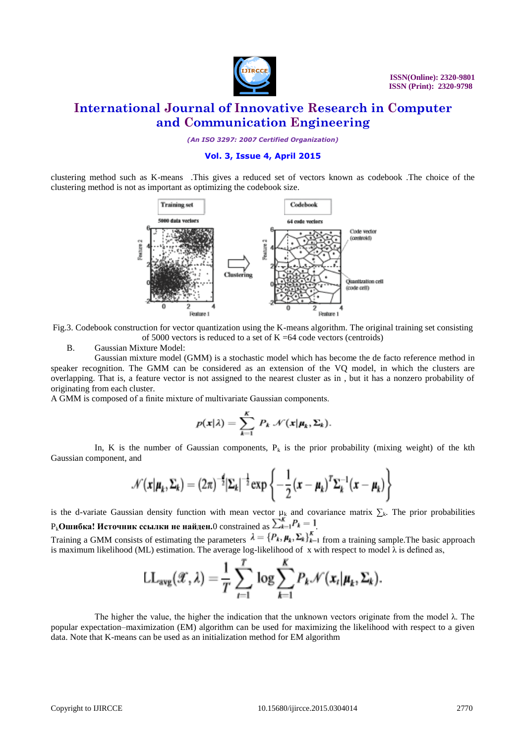

*(An ISO 3297: 2007 Certified Organization)*

#### **Vol. 3, Issue 4, April 2015**

clustering method such as K-means .This gives a reduced set of vectors known as codebook .The choice of the clustering method is not as important as optimizing the codebook size.



Fig.3. Codebook construction for vector quantization using the K-means algorithm. The original training set consisting of 5000 vectors is reduced to a set of  $K = 64$  code vectors (centroids)

B. Gaussian Mixture Model:

Gaussian mixture model (GMM) is a stochastic model which has become the de facto reference method in speaker recognition. The GMM can be considered as an extension of the VQ model, in which the clusters are overlapping. That is, a feature vector is not assigned to the nearest cluster as in , but it has a nonzero probability of originating from each cluster.

A GMM is composed of a finite mixture of multivariate Gaussian components.

$$
p(\mathbf{x}|\lambda) = \sum_{k=1}^K P_k \mathcal{N}(\mathbf{x}|\boldsymbol{\mu}_k, \boldsymbol{\Sigma}_k).
$$

In, K is the number of Gaussian components,  $P_k$  is the prior probability (mixing weight) of the kth Gaussian component, and

$$
\mathcal{N}(\boldsymbol{x}|\boldsymbol{\mu}_k, \boldsymbol{\Sigma}_k) = (2\pi)^{-\frac{d}{2}} |\boldsymbol{\Sigma}_k|^{-\frac{1}{2}} \exp \left\{-\frac{1}{2}(\boldsymbol{x} - \boldsymbol{\mu}_k)^T \boldsymbol{\Sigma}_k^{-1}(\boldsymbol{x} - \boldsymbol{\mu}_k)\right\}
$$

is the d-variate Gaussian density function with mean vector  $\mu_k$  and covariance matrix  $\sum_k$ . The prior probabilities  $P_k$ **Ошибка! Источник ссылки не найден.**0 constrained as  $\sum_{k=1}^{K} P_k = 1$ 

Training a GMM consists of estimating the parameters  $\lambda = \{P_k, \mu_k, \Sigma_k\}_{k=1}^K$  from a training sample. The basic approach is maximum likelihood (ML) estimation. The average log-likelihood of x with respect to model  $\lambda$  is defined as,

$$
LL_{avg}(\mathscr{X},\lambda)=\frac{1}{T}\sum_{t=1}^T \log \sum_{k=1}^K P_k \mathscr{N}(x_t|\mu_k,\Sigma_k).
$$

The higher the value, the higher the indication that the unknown vectors originate from the model  $\lambda$ . The popular expectation–maximization (EM) algorithm can be used for maximizing the likelihood with respect to a given data. Note that K-means can be used as an initialization method for EM algorithm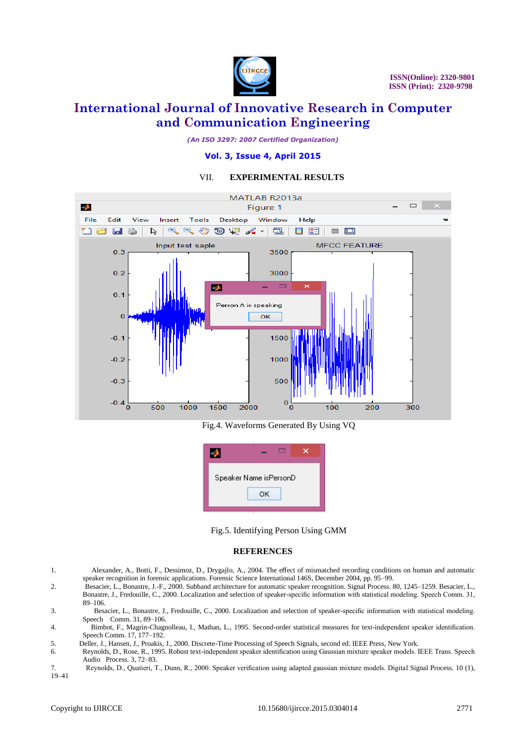

*(An ISO 3297: 2007 Certified Organization)*

#### **Vol. 3, Issue 4, April 2015**

#### VII. **EXPERIMENTAL RESULTS**



Fig.4. Waveforms Generated By Using VQ



Fig.5. Identifying Person Using GMM

#### **REFERENCES**

- 1. Alexander, A., Botti, F., Dessimoz, D., Drygajlo, A., 2004. The effect of mismatched recording conditions on human and automatic speaker recognition in forensic applications. Forensic Science International 146S, December 2004, pp. 95–99.
- 2. Besacier, L., Bonastre, J.-F., 2000. Subband architecture for automatic speaker recognition. Signal Process. 80, 1245–1259. Besacier, L., Bonastre, J., Fredouille, C., 2000. Localization and selection of speaker-specific information with statistical modeling. Speech Comm. 31, 89–106.
- 3. Besacier, L., Bonastre, J., Fredouille, C., 2000. Localization and selection of speaker-specific information with statistical modeling. Speech Comm. 31, 89–106.
- 4. Bimbot, F., Magrin-Chagnolleau, I., Mathan, L., 1995. Second-order statistical measures for text-independent speaker identification. Speech Comm. 17, 177–192.
- 5. Deller, J., Hansen, J., Proakis, J., 2000. Discrete-Time Processing of Speech Signals, second ed. IEEE Press, New York.
- 6. Reynolds, D., Rose, R., 1995. Robust text-independent speaker identification using Gaussian mixture speaker models. IEEE Trans. Speech Audio Process. 3, 72–83.
- 7. Reynolds, D., Quatieri, T., Dunn, R., 2000. Speaker verification using adapted gaussian mixture models. Digital Signal Process. 10 (1), 19–41